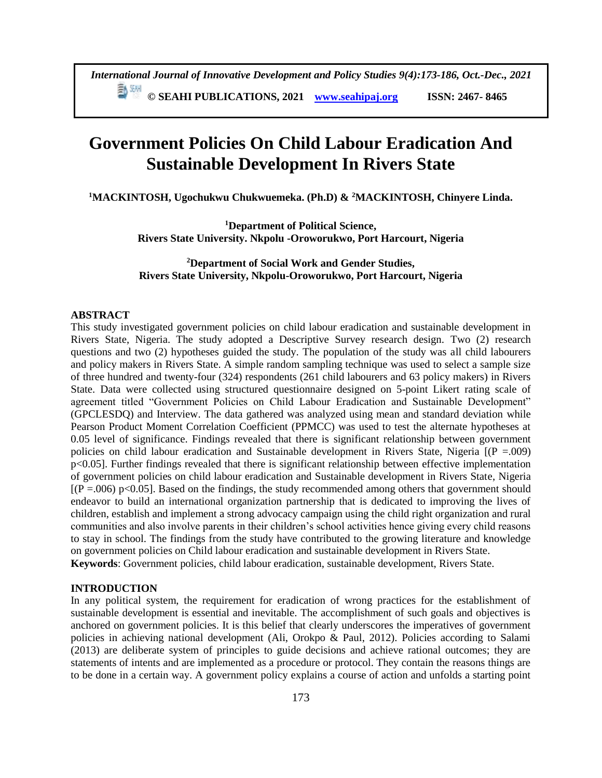5 3개 **© SEAHI PUBLICATIONS, 2021 [www.seahipaj.org](http://www.seahipaj.org/) ISSN: 2467- 8465**

# **Government Policies On Child Labour Eradication And Sustainable Development In Rivers State**

**<sup>1</sup>MACKINTOSH, Ugochukwu Chukwuemeka. (Ph.D) & <sup>2</sup>MACKINTOSH, Chinyere Linda.**

**<sup>1</sup>Department of Political Science, Rivers State University. Nkpolu -Oroworukwo, Port Harcourt, Nigeria**

**<sup>2</sup>Department of Social Work and Gender Studies, Rivers State University, Nkpolu-Oroworukwo, Port Harcourt, Nigeria**

# **ABSTRACT**

This study investigated government policies on child labour eradication and sustainable development in Rivers State, Nigeria. The study adopted a Descriptive Survey research design. Two (2) research questions and two (2) hypotheses guided the study. The population of the study was all child labourers and policy makers in Rivers State. A simple random sampling technique was used to select a sample size of three hundred and twenty-four (324) respondents (261 child labourers and 63 policy makers) in Rivers State. Data were collected using structured questionnaire designed on 5-point Likert rating scale of agreement titled "Government Policies on Child Labour Eradication and Sustainable Development" (GPCLESDQ) and Interview. The data gathered was analyzed using mean and standard deviation while Pearson Product Moment Correlation Coefficient (PPMCC) was used to test the alternate hypotheses at 0.05 level of significance. Findings revealed that there is significant relationship between government policies on child labour eradication and Sustainable development in Rivers State, Nigeria [(P =.009) p<0.05]. Further findings revealed that there is significant relationship between effective implementation of government policies on child labour eradication and Sustainable development in Rivers State, Nigeria  $[(P = .006) \text{ p} < 0.05]$ . Based on the findings, the study recommended among others that government should endeavor to build an international organization partnership that is dedicated to improving the lives of children, establish and implement a strong advocacy campaign using the child right organization and rural communities and also involve parents in their children's school activities hence giving every child reasons to stay in school. The findings from the study have contributed to the growing literature and knowledge on government policies on Child labour eradication and sustainable development in Rivers State. **Keywords**: Government policies, child labour eradication, sustainable development, Rivers State.

#### **INTRODUCTION**

In any political system, the requirement for eradication of wrong practices for the establishment of sustainable development is essential and inevitable. The accomplishment of such goals and objectives is anchored on government policies. It is this belief that clearly underscores the imperatives of government policies in achieving national development (Ali, Orokpo & Paul, 2012). Policies according to Salami (2013) are deliberate system of principles to guide decisions and achieve rational outcomes; they are statements of intents and are implemented as a procedure or protocol. They contain the reasons things are to be done in a certain way. A government policy explains a course of action and unfolds a starting point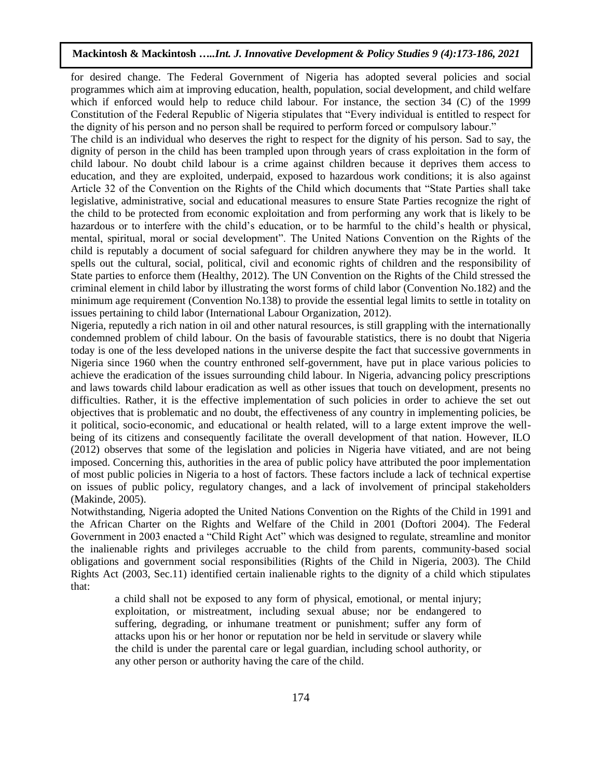for desired change. The Federal Government of Nigeria has adopted several policies and social programmes which aim at improving education, health, population, social development, and child welfare which if enforced would help to reduce child labour. For instance, the section 34 (C) of the 1999 Constitution of the Federal Republic of Nigeria stipulates that "Every individual is entitled to respect for the dignity of his person and no person shall be required to perform forced or compulsory labour."

The child is an individual who deserves the right to respect for the dignity of his person. Sad to say, the dignity of person in the child has been trampled upon through years of crass exploitation in the form of child labour. No doubt child labour is a crime against children because it deprives them access to education, and they are exploited, underpaid, exposed to hazardous work conditions; it is also against Article 32 of the Convention on the Rights of the Child which documents that "State Parties shall take legislative, administrative, social and educational measures to ensure State Parties recognize the right of the child to be protected from economic exploitation and from performing any work that is likely to be hazardous or to interfere with the child's education, or to be harmful to the child's health or physical, mental, spiritual, moral or social development". The United Nations Convention on the Rights of the child is reputably a document of social safeguard for children anywhere they may be in the world. It spells out the cultural, social, political, civil and economic rights of children and the responsibility of State parties to enforce them (Healthy, 2012). The UN Convention on the Rights of the Child stressed the criminal element in child labor by illustrating the worst forms of child labor (Convention No.182) and the minimum age requirement (Convention No.138) to provide the essential legal limits to settle in totality on issues pertaining to child labor (International Labour Organization, 2012).

Nigeria, reputedly a rich nation in oil and other natural resources, is still grappling with the internationally condemned problem of child labour. On the basis of favourable statistics, there is no doubt that Nigeria today is one of the less developed nations in the universe despite the fact that successive governments in Nigeria since 1960 when the country enthroned self-government, have put in place various policies to achieve the eradication of the issues surrounding child labour. In Nigeria, advancing policy prescriptions and laws towards child labour eradication as well as other issues that touch on development, presents no difficulties. Rather, it is the effective implementation of such policies in order to achieve the set out objectives that is problematic and no doubt, the effectiveness of any country in implementing policies, be it political, socio-economic, and educational or health related, will to a large extent improve the wellbeing of its citizens and consequently facilitate the overall development of that nation. However, ILO (2012) observes that some of the legislation and policies in Nigeria have vitiated, and are not being imposed. Concerning this, authorities in the area of public policy have attributed the poor implementation of most public policies in Nigeria to a host of factors. These factors include a lack of technical expertise on issues of public policy, regulatory changes, and a lack of involvement of principal stakeholders (Makinde, 2005).

Notwithstanding, Nigeria adopted the United Nations Convention on the Rights of the Child in 1991 and the African Charter on the Rights and Welfare of the Child in 2001 (Doftori 2004). The Federal Government in 2003 enacted a "Child Right Act" which was designed to regulate, streamline and monitor the inalienable rights and privileges accruable to the child from parents, community-based social obligations and government social responsibilities (Rights of the Child in Nigeria, 2003). The Child Rights Act (2003, Sec.11) identified certain inalienable rights to the dignity of a child which stipulates that:

a child shall not be exposed to any form of physical, emotional, or mental injury; exploitation, or mistreatment, including sexual abuse; nor be endangered to suffering, degrading, or inhumane treatment or punishment; suffer any form of attacks upon his or her honor or reputation nor be held in servitude or slavery while the child is under the parental care or legal guardian, including school authority, or any other person or authority having the care of the child.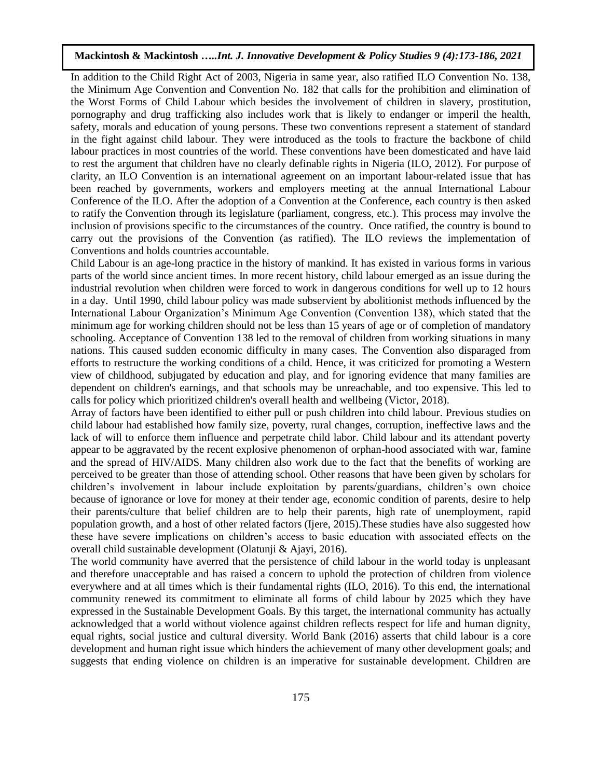In addition to the Child Right Act of 2003, Nigeria in same year, also ratified ILO Convention No. 138, the Minimum Age Convention and Convention No. 182 that calls for the prohibition and elimination of the Worst Forms of Child Labour which besides the involvement of children in slavery, prostitution, pornography and drug trafficking also includes work that is likely to endanger or imperil the health, safety, morals and education of young persons. These two conventions represent a statement of standard in the fight against child labour. They were introduced as the tools to fracture the backbone of child labour practices in most countries of the world. These conventions have been domesticated and have laid to rest the argument that children have no clearly definable rights in Nigeria (ILO, 2012). For purpose of clarity, an ILO Convention is an international agreement on an important labour-related issue that has been reached by governments, workers and employers meeting at the annual International Labour Conference of the ILO. After the adoption of a Convention at the Conference, each country is then asked to ratify the Convention through its legislature (parliament, congress, etc.). This process may involve the inclusion of provisions specific to the circumstances of the country. Once ratified, the country is bound to carry out the provisions of the Convention (as ratified). The ILO reviews the implementation of Conventions and holds countries accountable.

Child Labour is an age-long practice in the history of mankind. It has existed in various forms in various parts of the world since ancient times. In more recent history, child labour emerged as an issue during the industrial revolution when children were forced to work in dangerous conditions for well up to 12 hours in a day. Until 1990, child labour policy was made subservient by abolitionist methods influenced by the International Labour Organization's Minimum Age Convention (Convention 138), which stated that the minimum age for working children should not be less than 15 years of age or of completion of mandatory schooling. Acceptance of Convention 138 led to the removal of children from working situations in many nations. This caused sudden economic difficulty in many cases. The Convention also disparaged from efforts to restructure the working conditions of a child. Hence, it was criticized for promoting a Western view of childhood, subjugated by education and play, and for ignoring evidence that many families are dependent on children's earnings, and that schools may be unreachable, and too expensive. This led to calls for policy which prioritized children's overall health and wellbeing (Victor, 2018).

Array of factors have been identified to either pull or push children into child labour. Previous studies on child labour had established how family size, poverty, rural changes, corruption, ineffective laws and the lack of will to enforce them influence and perpetrate child labor. Child labour and its attendant poverty appear to be aggravated by the recent explosive phenomenon of orphan-hood associated with war, famine and the spread of HIV/AIDS. Many children also work due to the fact that the benefits of working are perceived to be greater than those of attending school. Other reasons that have been given by scholars for children's involvement in labour include exploitation by parents/guardians, children's own choice because of ignorance or love for money at their tender age, economic condition of parents, desire to help their parents/culture that belief children are to help their parents, high rate of unemployment, rapid population growth, and a host of other related factors (Ijere, 2015).These studies have also suggested how these have severe implications on children's access to basic education with associated effects on the overall child sustainable development (Olatunji & Ajayi, 2016).

The world community have averred that the persistence of child labour in the world today is unpleasant and therefore unacceptable and has raised a concern to uphold the protection of children from violence everywhere and at all times which is their fundamental rights (ILO, 2016). To this end, the international community renewed its commitment to eliminate all forms of child labour by 2025 which they have expressed in the Sustainable Development Goals. By this target, the international community has actually acknowledged that a world without violence against children reflects respect for life and human dignity, equal rights, social justice and cultural diversity. World Bank (2016) asserts that child labour is a core development and human right issue which hinders the achievement of many other development goals; and suggests that ending violence on children is an imperative for sustainable development. Children are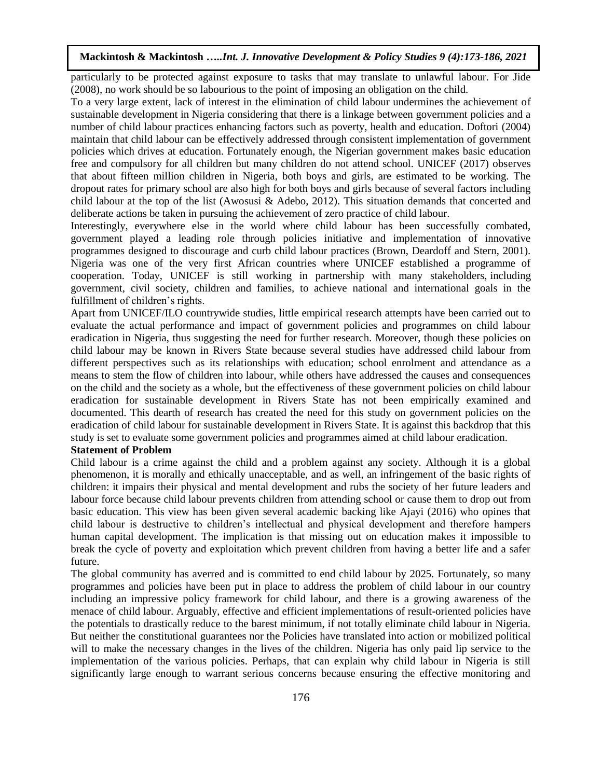particularly to be protected against exposure to tasks that may translate to unlawful labour. For Jide (2008), no work should be so labourious to the point of imposing an obligation on the child.

To a very large extent, lack of interest in the elimination of child labour undermines the achievement of sustainable development in Nigeria considering that there is a linkage between government policies and a number of child labour practices enhancing factors such as poverty, health and education. Doftori (2004) maintain that child labour can be effectively addressed through consistent implementation of government policies which drives at education. Fortunately enough, the Nigerian government makes basic education free and compulsory for all children but many children do not attend school. UNICEF (2017) observes that about fifteen million children in Nigeria, both boys and girls, are estimated to be working. The dropout rates for primary school are also high for both boys and girls because of several factors including child labour at the top of the list (Awosusi & Adebo, 2012). This situation demands that concerted and deliberate actions be taken in pursuing the achievement of zero practice of child labour.

Interestingly, everywhere else in the world where child labour has been successfully combated, government played a leading role through policies initiative and implementation of innovative programmes designed to discourage and curb child labour practices (Brown, Deardoff and Stern, 2001). Nigeria was one of the very first African countries where UNICEF established a programme of cooperation. Today, UNICEF is still working in partnership with many stakeholders, including government, civil society, children and families, to achieve national and international goals in the fulfillment of children's rights.

Apart from UNICEF/ILO countrywide studies, little empirical research attempts have been carried out to evaluate the actual performance and impact of government policies and programmes on child labour eradication in Nigeria, thus suggesting the need for further research. Moreover, though these policies on child labour may be known in Rivers State because several studies have addressed child labour from different perspectives such as its relationships with education; school enrolment and attendance as a means to stem the flow of children into labour, while others have addressed the causes and consequences on the child and the society as a whole, but the effectiveness of these government policies on child labour eradication for sustainable development in Rivers State has not been empirically examined and documented. This dearth of research has created the need for this study on government policies on the eradication of child labour for sustainable development in Rivers State. It is against this backdrop that this study is set to evaluate some government policies and programmes aimed at child labour eradication.

# **Statement of Problem**

Child labour is a crime against the child and a problem against any society. Although it is a global phenomenon, it is morally and ethically unacceptable, and as well, an infringement of the basic rights of children: it impairs their physical and mental development and rubs the society of her future leaders and labour force because child labour prevents children from attending school or cause them to drop out from basic education. This view has been given several academic backing like Ajayi (2016) who opines that child labour is destructive to children's intellectual and physical development and therefore hampers human capital development. The implication is that missing out on education makes it impossible to break the cycle of poverty and exploitation which prevent children from having a better life and a safer future.

The global community has averred and is committed to end child labour by 2025. Fortunately, so many programmes and policies have been put in place to address the problem of child labour in our country including an impressive policy framework for child labour, and there is a growing awareness of the menace of child labour. Arguably, effective and efficient implementations of result-oriented policies have the potentials to drastically reduce to the barest minimum, if not totally eliminate child labour in Nigeria. But neither the constitutional guarantees nor the Policies have translated into action or mobilized political will to make the necessary changes in the lives of the children. Nigeria has only paid lip service to the implementation of the various policies. Perhaps, that can explain why child labour in Nigeria is still significantly large enough to warrant serious concerns because ensuring the effective monitoring and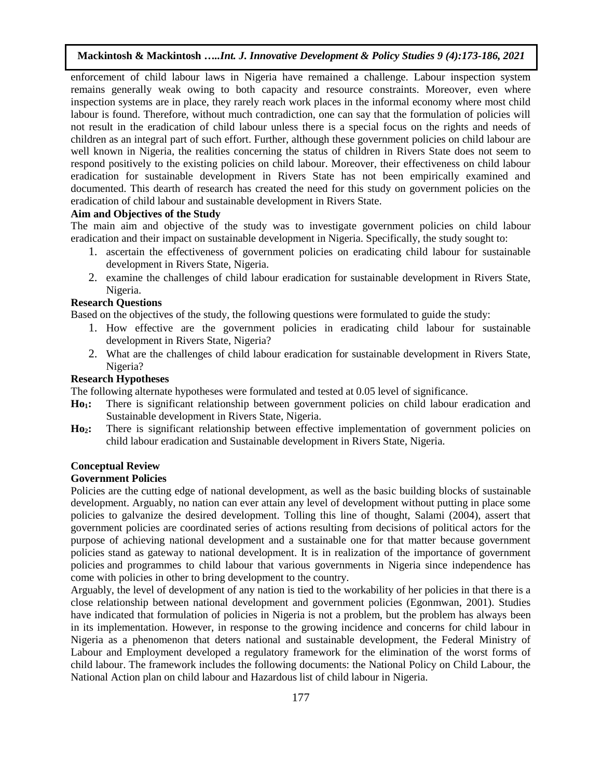enforcement of child labour laws in Nigeria have remained a challenge. Labour inspection system remains generally weak owing to both capacity and resource constraints. Moreover, even where inspection systems are in place, they rarely reach work places in the informal economy where most child labour is found. Therefore, without much contradiction, one can say that the formulation of policies will not result in the eradication of child labour unless there is a special focus on the rights and needs of children as an integral part of such effort. Further, although these government policies on child labour are well known in Nigeria, the realities concerning the status of children in Rivers State does not seem to respond positively to the existing policies on child labour. Moreover, their effectiveness on child labour eradication for sustainable development in Rivers State has not been empirically examined and documented. This dearth of research has created the need for this study on government policies on the eradication of child labour and sustainable development in Rivers State.

# **Aim and Objectives of the Study**

The main aim and objective of the study was to investigate government policies on child labour eradication and their impact on sustainable development in Nigeria. Specifically, the study sought to:

- 1. ascertain the effectiveness of government policies on eradicating child labour for sustainable development in Rivers State, Nigeria.
- 2. examine the challenges of child labour eradication for sustainable development in Rivers State, Nigeria.

# **Research Questions**

Based on the objectives of the study, the following questions were formulated to guide the study:

- 1. How effective are the government policies in eradicating child labour for sustainable development in Rivers State, Nigeria?
- 2. What are the challenges of child labour eradication for sustainable development in Rivers State, Nigeria?

# **Research Hypotheses**

The following alternate hypotheses were formulated and tested at 0.05 level of significance.

- **Ho1:** There is significant relationship between government policies on child labour eradication and Sustainable development in Rivers State, Nigeria.
- **Ho2:** There is significant relationship between effective implementation of government policies on child labour eradication and Sustainable development in Rivers State, Nigeria.

#### **Conceptual Review**

### **Government Policies**

Policies are the cutting edge of national development, as well as the basic building blocks of sustainable development. Arguably, no nation can ever attain any level of development without putting in place some policies to galvanize the desired development. Tolling this line of thought, Salami (2004), assert that government policies are coordinated series of actions resulting from decisions of political actors for the purpose of achieving national development and a sustainable one for that matter because government policies stand as gateway to national development. It is in realization of the importance of government policies and programmes to child labour that various governments in Nigeria since independence has come with policies in other to bring development to the country.

Arguably, the level of development of any nation is tied to the workability of her policies in that there is a close relationship between national development and government policies (Egonmwan, 2001). Studies have indicated that formulation of policies in Nigeria is not a problem, but the problem has always been in its implementation. However, in response to the growing incidence and concerns for child labour in Nigeria as a phenomenon that deters national and sustainable development, the Federal Ministry of Labour and Employment developed a regulatory framework for the elimination of the worst forms of child labour. The framework includes the following documents: the National Policy on Child Labour, the National Action plan on child labour and Hazardous list of child labour in Nigeria.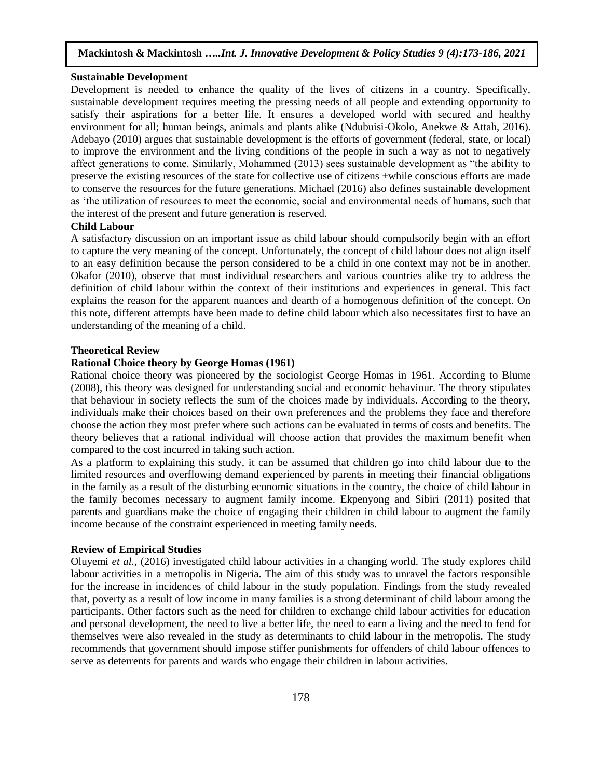#### **Sustainable Development**

Development is needed to enhance the quality of the lives of citizens in a country. Specifically, sustainable development requires meeting the pressing needs of all people and extending opportunity to satisfy their aspirations for a better life. It ensures a developed world with secured and healthy environment for all; human beings, animals and plants alike (Ndubuisi-Okolo, Anekwe & Attah, 2016). Adebayo (2010) argues that sustainable development is the efforts of government (federal, state, or local) to improve the environment and the living conditions of the people in such a way as not to negatively affect generations to come. Similarly, Mohammed (2013) sees sustainable development as "the ability to preserve the existing resources of the state for collective use of citizens +while conscious efforts are made to conserve the resources for the future generations. Michael (2016) also defines sustainable development as 'the utilization of resources to meet the economic, social and environmental needs of humans, such that the interest of the present and future generation is reserved.

# **Child Labour**

A satisfactory discussion on an important issue as child labour should compulsorily begin with an effort to capture the very meaning of the concept. Unfortunately, the concept of child labour does not align itself to an easy definition because the person considered to be a child in one context may not be in another. Okafor (2010), observe that most individual researchers and various countries alike try to address the definition of child labour within the context of their institutions and experiences in general. This fact explains the reason for the apparent nuances and dearth of a homogenous definition of the concept. On this note, different attempts have been made to define child labour which also necessitates first to have an understanding of the meaning of a child.

### **Theoretical Review**

### **Rational Choice theory by George Homas (1961)**

Rational choice theory was pioneered by the sociologist George Homas in 1961. According to Blume (2008), this theory was designed for understanding social and economic behaviour. The theory stipulates that behaviour in society reflects the sum of the choices made by individuals. According to the theory, individuals make their choices based on their own preferences and the problems they face and therefore choose the action they most prefer where such actions can be evaluated in terms of costs and benefits. The theory believes that a rational individual will choose action that provides the maximum benefit when compared to the cost incurred in taking such action.

As a platform to explaining this study, it can be assumed that children go into child labour due to the limited resources and overflowing demand experienced by parents in meeting their financial obligations in the family as a result of the disturbing economic situations in the country, the choice of child labour in the family becomes necessary to augment family income. Ekpenyong and Sibiri (2011) posited that parents and guardians make the choice of engaging their children in child labour to augment the family income because of the constraint experienced in meeting family needs.

### **Review of Empirical Studies**

Oluyemi *et al.,* (2016) investigated child labour activities in a changing world. The study explores child labour activities in a metropolis in Nigeria. The aim of this study was to unravel the factors responsible for the increase in incidences of child labour in the study population. Findings from the study revealed that, poverty as a result of low income in many families is a strong determinant of child labour among the participants. Other factors such as the need for children to exchange child labour activities for education and personal development, the need to live a better life, the need to earn a living and the need to fend for themselves were also revealed in the study as determinants to child labour in the metropolis. The study recommends that government should impose stiffer punishments for offenders of child labour offences to serve as deterrents for parents and wards who engage their children in labour activities.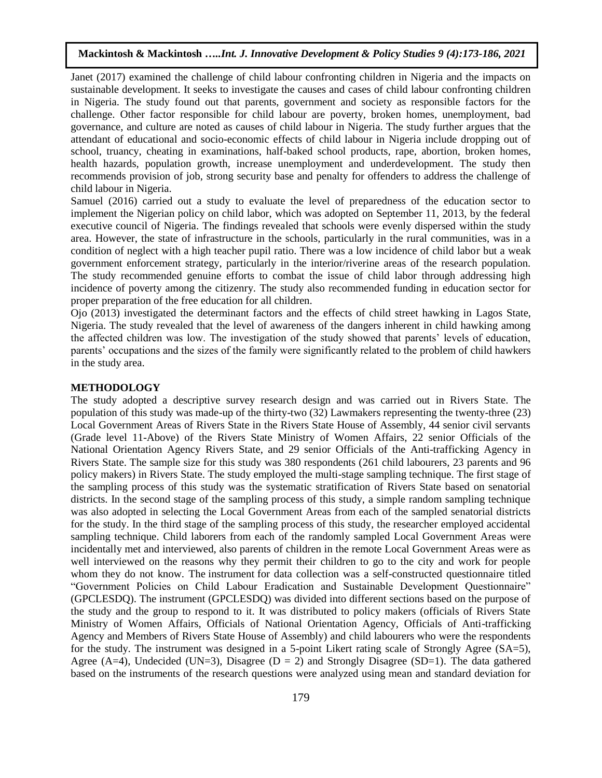Janet (2017) examined the challenge of child labour confronting children in Nigeria and the impacts on sustainable development. It seeks to investigate the causes and cases of child labour confronting children in Nigeria. The study found out that parents, government and society as responsible factors for the challenge. Other factor responsible for child labour are poverty, broken homes, unemployment, bad governance, and culture are noted as causes of child labour in Nigeria. The study further argues that the attendant of educational and socio-economic effects of child labour in Nigeria include dropping out of school, truancy, cheating in examinations, half-baked school products, rape, abortion, broken homes, health hazards, population growth, increase unemployment and underdevelopment. The study then recommends provision of job, strong security base and penalty for offenders to address the challenge of child labour in Nigeria.

Samuel (2016) carried out a study to evaluate the level of preparedness of the education sector to implement the Nigerian policy on child labor, which was adopted on September 11, 2013, by the federal executive council of Nigeria. The findings revealed that schools were evenly dispersed within the study area. However, the state of infrastructure in the schools, particularly in the rural communities, was in a condition of neglect with a high teacher pupil ratio. There was a low incidence of child labor but a weak government enforcement strategy, particularly in the interior/riverine areas of the research population. The study recommended genuine efforts to combat the issue of child labor through addressing high incidence of poverty among the citizenry. The study also recommended funding in education sector for proper preparation of the free education for all children.

Ojo (2013) investigated the determinant factors and the effects of child street hawking in Lagos State, Nigeria. The study revealed that the level of awareness of the dangers inherent in child hawking among the affected children was low. The investigation of the study showed that parents' levels of education, parents' occupations and the sizes of the family were significantly related to the problem of child hawkers in the study area.

#### **METHODOLOGY**

The study adopted a descriptive survey research design and was carried out in Rivers State. The population of this study was made-up of the thirty-two (32) Lawmakers representing the twenty-three (23) Local Government Areas of Rivers State in the Rivers State House of Assembly, 44 senior civil servants (Grade level 11-Above) of the Rivers State Ministry of Women Affairs, 22 senior Officials of the National Orientation Agency Rivers State, and 29 senior Officials of the Anti-trafficking Agency in Rivers State. The sample size for this study was 380 respondents (261 child labourers, 23 parents and 96 policy makers) in Rivers State. The study employed the multi-stage sampling technique. The first stage of the sampling process of this study was the systematic stratification of Rivers State based on senatorial districts. In the second stage of the sampling process of this study, a simple random sampling technique was also adopted in selecting the Local Government Areas from each of the sampled senatorial districts for the study. In the third stage of the sampling process of this study, the researcher employed accidental sampling technique. Child laborers from each of the randomly sampled Local Government Areas were incidentally met and interviewed, also parents of children in the remote Local Government Areas were as well interviewed on the reasons why they permit their children to go to the city and work for people whom they do not know. The instrument for data collection was a self-constructed questionnaire titled "Government Policies on Child Labour Eradication and Sustainable Development Questionnaire" (GPCLESDQ). The instrument (GPCLESDQ) was divided into different sections based on the purpose of the study and the group to respond to it. It was distributed to policy makers (officials of Rivers State Ministry of Women Affairs, Officials of National Orientation Agency, Officials of Anti-trafficking Agency and Members of Rivers State House of Assembly) and child labourers who were the respondents for the study. The instrument was designed in a 5-point Likert rating scale of Strongly Agree (SA=5), Agree (A=4), Undecided (UN=3), Disagree ( $D = 2$ ) and Strongly Disagree (SD=1). The data gathered based on the instruments of the research questions were analyzed using mean and standard deviation for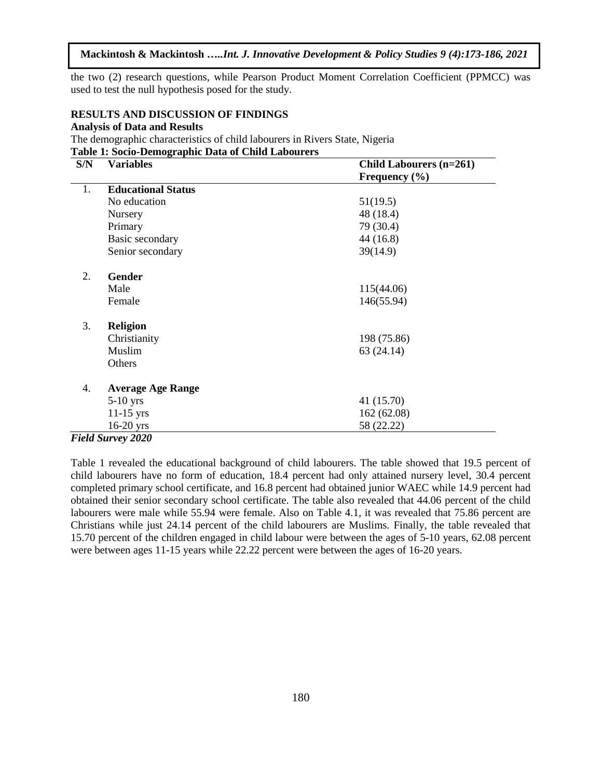the two (2) research questions, while Pearson Product Moment Correlation Coefficient (PPMCC) was used to test the null hypothesis posed for the study.

#### **RESULTS AND DISCUSSION OF FINDINGS**

### **Analysis of Data and Results**

The demographic characteristics of child labourers in Rivers State, Nigeria **Table 1: Socio-Demographic Data of Child Labourers**

| S/N | <b>Variables</b>          | Child Labourers (n=261) |
|-----|---------------------------|-------------------------|
|     |                           | Frequency $(\% )$       |
| 1.  | <b>Educational Status</b> |                         |
|     | No education              | 51(19.5)                |
|     | Nursery                   | 48 (18.4)               |
|     | Primary                   | 79 (30.4)               |
|     | Basic secondary           | 44 (16.8)               |
|     | Senior secondary          | 39(14.9)                |
| 2.  | <b>Gender</b>             |                         |
|     | Male                      | 115(44.06)              |
|     | Female                    | 146(55.94)              |
| 3.  | <b>Religion</b>           |                         |
|     | Christianity              | 198 (75.86)             |
|     | Muslim                    | 63(24.14)               |
|     | Others                    |                         |
| 4.  | <b>Average Age Range</b>  |                         |
|     | $5-10$ yrs                | 41 (15.70)              |
|     | $11-15$ yrs               | 162 (62.08)             |
|     | $16-20$ yrs               | 58 (22.22)              |

### *Field Survey 2020*

Table 1 revealed the educational background of child labourers. The table showed that 19.5 percent of child labourers have no form of education, 18.4 percent had only attained nursery level, 30.4 percent completed primary school certificate, and 16.8 percent had obtained junior WAEC while 14.9 percent had obtained their senior secondary school certificate. The table also revealed that 44.06 percent of the child labourers were male while 55.94 were female. Also on Table 4.1, it was revealed that 75.86 percent are Christians while just 24.14 percent of the child labourers are Muslims. Finally, the table revealed that 15.70 percent of the children engaged in child labour were between the ages of 5-10 years, 62.08 percent were between ages 11-15 years while 22.22 percent were between the ages of 16-20 years.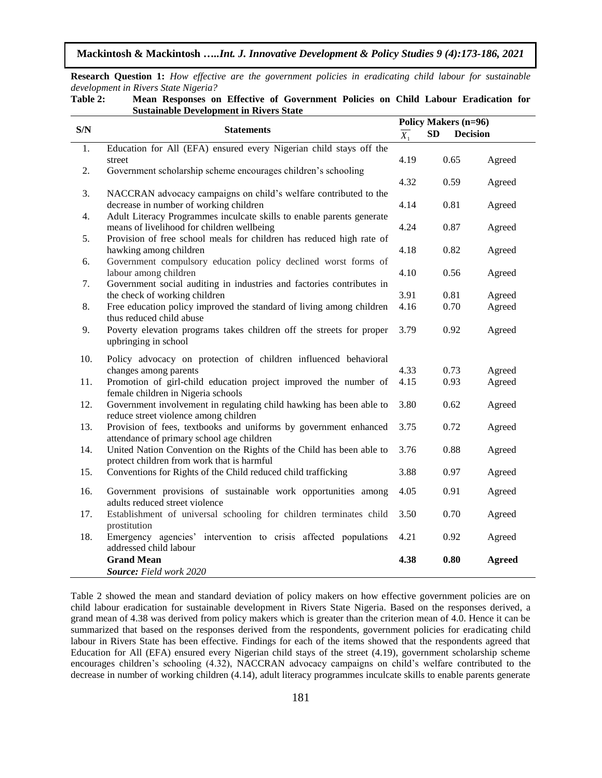**Research Question 1:** *How effective are the government policies in eradicating child labour for sustainable development in Rivers State Nigeria?*

**Table 2: Mean Responses on Effective of Government Policies on Child Labour Eradication for Sustainable Development in Rivers State**

|     |                                                                                                                     | <b>Policy Makers (n=96)</b> |                              |                  |
|-----|---------------------------------------------------------------------------------------------------------------------|-----------------------------|------------------------------|------------------|
| S/N | <b>Statements</b>                                                                                                   |                             | <b>Decision</b><br><b>SD</b> |                  |
| 1.  | Education for All (EFA) ensured every Nigerian child stays off the<br>street                                        | 4.19                        | 0.65                         | Agreed           |
| 2.  | Government scholarship scheme encourages children's schooling                                                       | 4.32                        | 0.59                         | Agreed           |
| 3.  | NACCRAN advocacy campaigns on child's welfare contributed to the<br>decrease in number of working children          | 4.14                        | 0.81                         | Agreed           |
| 4.  | Adult Literacy Programmes inculcate skills to enable parents generate<br>means of livelihood for children wellbeing | 4.24                        | 0.87                         | Agreed           |
| 5.  | Provision of free school meals for children has reduced high rate of                                                |                             |                              |                  |
| 6.  | hawking among children<br>Government compulsory education policy declined worst forms of                            | 4.18                        | 0.82                         | Agreed           |
|     | labour among children                                                                                               | 4.10                        | 0.56                         | Agreed           |
| 7.  | Government social auditing in industries and factories contributes in                                               |                             |                              |                  |
|     | the check of working children                                                                                       | 3.91                        | 0.81                         | Agreed           |
| 8.  | Free education policy improved the standard of living among children<br>thus reduced child abuse                    | 4.16                        | 0.70                         | Agreed           |
| 9.  | Poverty elevation programs takes children off the streets for proper<br>upbringing in school                        | 3.79                        | 0.92                         | Agreed           |
| 10. | Policy advocacy on protection of children influenced behavioral                                                     |                             |                              |                  |
| 11. | changes among parents<br>Promotion of girl-child education project improved the number of                           | 4.33<br>4.15                | 0.73<br>0.93                 | Agreed<br>Agreed |
|     | female children in Nigeria schools                                                                                  |                             |                              |                  |
| 12. | Government involvement in regulating child hawking has been able to<br>reduce street violence among children        | 3.80                        | 0.62                         | Agreed           |
| 13. | Provision of fees, textbooks and uniforms by government enhanced<br>attendance of primary school age children       | 3.75                        | 0.72                         | Agreed           |
| 14. | United Nation Convention on the Rights of the Child has been able to<br>protect children from work that is harmful  | 3.76                        | 0.88                         | Agreed           |
| 15. | Conventions for Rights of the Child reduced child trafficking                                                       | 3.88                        | 0.97                         | Agreed           |
| 16. | Government provisions of sustainable work opportunities among<br>adults reduced street violence                     | 4.05                        | 0.91                         | Agreed           |
| 17. | Establishment of universal schooling for children terminates child<br>prostitution                                  | 3.50                        | 0.70                         | Agreed           |
| 18. | Emergency agencies' intervention to crisis affected populations<br>addressed child labour                           | 4.21                        | 0.92                         | Agreed           |
|     | <b>Grand Mean</b><br>Source: Field work 2020                                                                        | 4.38                        | 0.80                         | <b>Agreed</b>    |

Table 2 showed the mean and standard deviation of policy makers on how effective government policies are on child labour eradication for sustainable development in Rivers State Nigeria. Based on the responses derived, a grand mean of 4.38 was derived from policy makers which is greater than the criterion mean of 4.0. Hence it can be summarized that based on the responses derived from the respondents, government policies for eradicating child labour in Rivers State has been effective. Findings for each of the items showed that the respondents agreed that Education for All (EFA) ensured every Nigerian child stays of the street (4.19), government scholarship scheme encourages children's schooling (4.32), NACCRAN advocacy campaigns on child's welfare contributed to the decrease in number of working children (4.14), adult literacy programmes inculcate skills to enable parents generate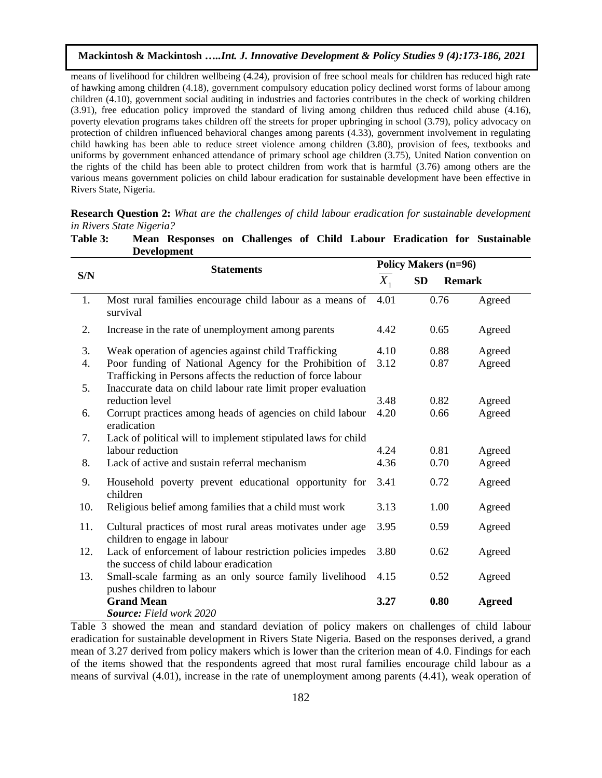means of livelihood for children wellbeing (4.24), provision of free school meals for children has reduced high rate of hawking among children (4.18), government compulsory education policy declined worst forms of labour among children (4.10), government social auditing in industries and factories contributes in the check of working children (3.91), free education policy improved the standard of living among children thus reduced child abuse (4.16), poverty elevation programs takes children off the streets for proper upbringing in school (3.79), policy advocacy on protection of children influenced behavioral changes among parents (4.33), government involvement in regulating child hawking has been able to reduce street violence among children (3.80), provision of fees, textbooks and uniforms by government enhanced attendance of primary school age children (3.75), United Nation convention on the rights of the child has been able to protect children from work that is harmful (3.76) among others are the various means government policies on child labour eradication for sustainable development have been effective in Rivers State, Nigeria.

**Research Question 2:** *What are the challenges of child labour eradication for sustainable development in Rivers State Nigeria?*

|     | Development                                                                                                            |              |                             |               |  |  |
|-----|------------------------------------------------------------------------------------------------------------------------|--------------|-----------------------------|---------------|--|--|
|     | <b>Statements</b>                                                                                                      |              | <b>Policy Makers (n=96)</b> |               |  |  |
| S/N |                                                                                                                        |              | <b>SD</b><br><b>Remark</b>  |               |  |  |
| 1.  | Most rural families encourage child labour as a means of<br>survival                                                   | 4.01         | 0.76                        | Agreed        |  |  |
| 2.  | Increase in the rate of unemployment among parents                                                                     | 4.42         | 0.65                        | Agreed        |  |  |
| 3.  | Weak operation of agencies against child Trafficking                                                                   | 4.10         | 0.88                        | Agreed        |  |  |
| 4.  | Poor funding of National Agency for the Prohibition of<br>Trafficking in Persons affects the reduction of force labour | 3.12         | 0.87                        | Agreed        |  |  |
| 5.  | Inaccurate data on child labour rate limit proper evaluation                                                           |              |                             |               |  |  |
|     | reduction level                                                                                                        | 3.48         | 0.82                        | Agreed        |  |  |
| 6.  | Corrupt practices among heads of agencies on child labour<br>eradication                                               | 4.20         | 0.66                        | Agreed        |  |  |
| 7.  | Lack of political will to implement stipulated laws for child                                                          |              |                             |               |  |  |
|     | labour reduction                                                                                                       | 4.24<br>4.36 | 0.81                        | Agreed        |  |  |
| 8.  | Lack of active and sustain referral mechanism                                                                          |              | 0.70                        | Agreed        |  |  |
| 9.  | Household poverty prevent educational opportunity for<br>children                                                      | 3.41         | 0.72                        | Agreed        |  |  |
| 10. | Religious belief among families that a child must work                                                                 | 3.13         | 1.00                        | Agreed        |  |  |
| 11. | Cultural practices of most rural areas motivates under age<br>children to engage in labour                             | 3.95         | 0.59                        | Agreed        |  |  |
| 12. | Lack of enforcement of labour restriction policies impedes<br>the success of child labour eradication                  | 3.80         | 0.62                        | Agreed        |  |  |
| 13. | Small-scale farming as an only source family livelihood<br>pushes children to labour                                   | 4.15         | 0.52                        | Agreed        |  |  |
|     | <b>Grand Mean</b><br><b>Source:</b> Field work 2020                                                                    | 3.27         | 0.80                        | <b>Agreed</b> |  |  |

**Table 3: Mean Responses on Challenges of Child Labour Eradication for Sustainable Development** 

Table 3 showed the mean and standard deviation of policy makers on challenges of child labour eradication for sustainable development in Rivers State Nigeria. Based on the responses derived, a grand mean of 3.27 derived from policy makers which is lower than the criterion mean of 4.0. Findings for each of the items showed that the respondents agreed that most rural families encourage child labour as a means of survival (4.01), increase in the rate of unemployment among parents (4.41), weak operation of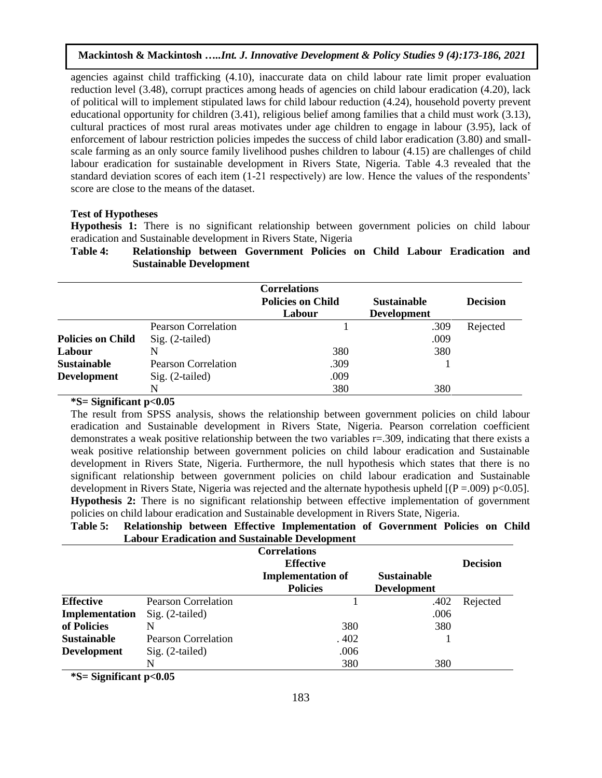agencies against child trafficking (4.10), inaccurate data on child labour rate limit proper evaluation reduction level (3.48), corrupt practices among heads of agencies on child labour eradication (4.20), lack of political will to implement stipulated laws for child labour reduction (4.24), household poverty prevent educational opportunity for children (3.41), religious belief among families that a child must work (3.13), cultural practices of most rural areas motivates under age children to engage in labour (3.95), lack of enforcement of labour restriction policies impedes the success of child labor eradication (3.80) and smallscale farming as an only source family livelihood pushes children to labour (4.15) are challenges of child labour eradication for sustainable development in Rivers State, Nigeria. Table 4.3 revealed that the standard deviation scores of each item (1-21 respectively) are low. Hence the values of the respondents' score are close to the means of the dataset.

### **Test of Hypotheses**

Hypothesis 1: There is no significant relationship between government policies on child labour eradication and Sustainable development in Rivers State, Nigeria

# **Table 4: Relationship between Government Policies on Child Labour Eradication and Sustainable Development**

|                          |                            | <b>Correlations</b><br><b>Policies on Child</b><br>Labour | <b>Sustainable</b><br><b>Development</b> | <b>Decision</b> |
|--------------------------|----------------------------|-----------------------------------------------------------|------------------------------------------|-----------------|
|                          | <b>Pearson Correlation</b> |                                                           | .309                                     | Rejected        |
| <b>Policies on Child</b> | Sig. (2-tailed)            |                                                           | .009                                     |                 |
| Labour                   | N                          | 380                                                       | 380                                      |                 |
| <b>Sustainable</b>       | <b>Pearson Correlation</b> | .309                                                      |                                          |                 |
| <b>Development</b>       | $Sig. (2-tailed)$          | .009                                                      |                                          |                 |
|                          | N                          | 380                                                       | 380                                      |                 |

# **\*S= Significant p<0.05**

The result from SPSS analysis, shows the relationship between government policies on child labour eradication and Sustainable development in Rivers State, Nigeria. Pearson correlation coefficient demonstrates a weak positive relationship between the two variables r=.309, indicating that there exists a weak positive relationship between government policies on child labour eradication and Sustainable development in Rivers State, Nigeria. Furthermore, the null hypothesis which states that there is no significant relationship between government policies on child labour eradication and Sustainable development in Rivers State, Nigeria was rejected and the alternate hypothesis upheld  $[(P = .009) p < 0.05]$ . **Hypothesis 2:** There is no significant relationship between effective implementation of government policies on child labour eradication and Sustainable development in Rivers State, Nigeria.

**Table 5: Relationship between Effective Implementation of Government Policies on Child Labour Eradication and Sustainable Development**

|                    |                            | <b>Correlations</b><br><b>Effective</b>     | <b>Decision</b>                          |          |
|--------------------|----------------------------|---------------------------------------------|------------------------------------------|----------|
|                    |                            | <b>Implementation of</b><br><b>Policies</b> | <b>Sustainable</b><br><b>Development</b> |          |
| <b>Effective</b>   | <b>Pearson Correlation</b> |                                             | .402                                     | Rejected |
| Implementation     | $Sig. (2-tailed)$          |                                             | .006                                     |          |
| of Policies        | N                          | 380                                         | 380                                      |          |
| <b>Sustainable</b> | Pearson Correlation        | .402                                        |                                          |          |
| <b>Development</b> | $Sig. (2-tailed)$          | .006                                        |                                          |          |
|                    | N                          | 380                                         | 380                                      |          |

**\*S= Significant p<0.05**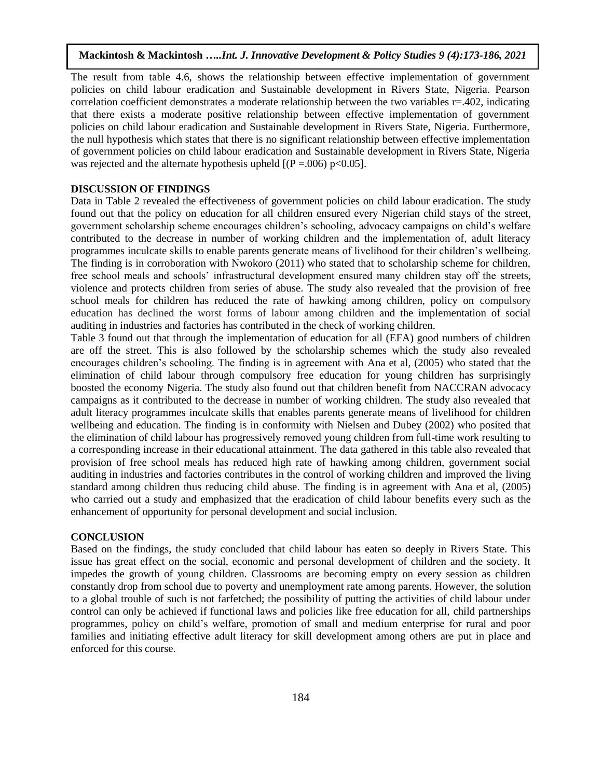The result from table 4.6, shows the relationship between effective implementation of government policies on child labour eradication and Sustainable development in Rivers State, Nigeria. Pearson correlation coefficient demonstrates a moderate relationship between the two variables  $r=0.402$ , indicating that there exists a moderate positive relationship between effective implementation of government policies on child labour eradication and Sustainable development in Rivers State, Nigeria. Furthermore, the null hypothesis which states that there is no significant relationship between effective implementation of government policies on child labour eradication and Sustainable development in Rivers State, Nigeria was rejected and the alternate hypothesis upheld  $[(P = .006) \text{ p} < 0.05]$ .

# **DISCUSSION OF FINDINGS**

Data in Table 2 revealed the effectiveness of government policies on child labour eradication. The study found out that the policy on education for all children ensured every Nigerian child stays of the street, government scholarship scheme encourages children's schooling, advocacy campaigns on child's welfare contributed to the decrease in number of working children and the implementation of, adult literacy programmes inculcate skills to enable parents generate means of livelihood for their children's wellbeing. The finding is in corroboration with Nwokoro (2011) who stated that to scholarship scheme for children, free school meals and schools' infrastructural development ensured many children stay off the streets, violence and protects children from series of abuse. The study also revealed that the provision of free school meals for children has reduced the rate of hawking among children, policy on compulsory education has declined the worst forms of labour among children and the implementation of social auditing in industries and factories has contributed in the check of working children.

Table 3 found out that through the implementation of education for all (EFA) good numbers of children are off the street. This is also followed by the scholarship schemes which the study also revealed encourages children's schooling. The finding is in agreement with Ana et al, (2005) who stated that the elimination of child labour through compulsory free education for young children has surprisingly boosted the economy Nigeria. The study also found out that children benefit from NACCRAN advocacy campaigns as it contributed to the decrease in number of working children. The study also revealed that adult literacy programmes inculcate skills that enables parents generate means of livelihood for children wellbeing and education. The finding is in conformity with Nielsen and Dubey (2002) who posited that the elimination of child labour has progressively removed young children from full-time work resulting to a corresponding increase in their educational attainment. The data gathered in this table also revealed that provision of free school meals has reduced high rate of hawking among children, government social auditing in industries and factories contributes in the control of working children and improved the living standard among children thus reducing child abuse. The finding is in agreement with Ana et al, (2005) who carried out a study and emphasized that the eradication of child labour benefits every such as the enhancement of opportunity for personal development and social inclusion.

### **CONCLUSION**

Based on the findings, the study concluded that child labour has eaten so deeply in Rivers State. This issue has great effect on the social, economic and personal development of children and the society. It impedes the growth of young children. Classrooms are becoming empty on every session as children constantly drop from school due to poverty and unemployment rate among parents. However, the solution to a global trouble of such is not farfetched; the possibility of putting the activities of child labour under control can only be achieved if functional laws and policies like free education for all, child partnerships programmes, policy on child's welfare, promotion of small and medium enterprise for rural and poor families and initiating effective adult literacy for skill development among others are put in place and enforced for this course.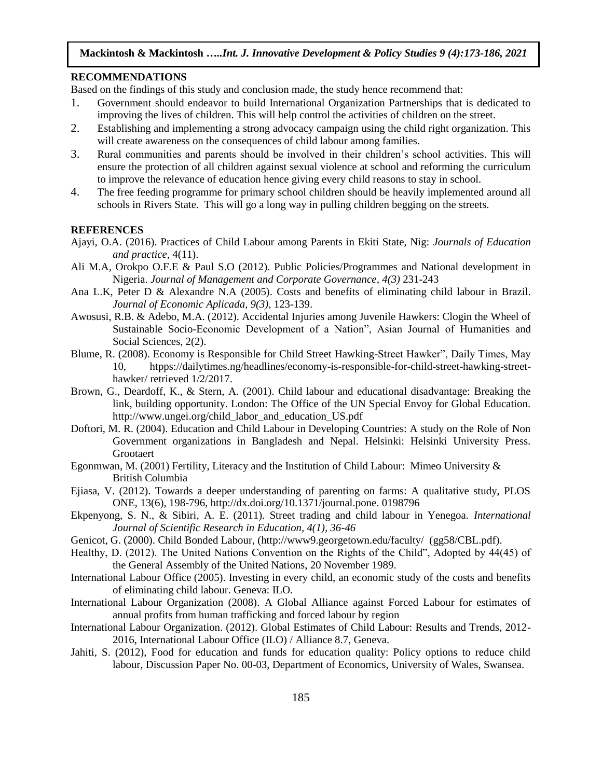# **RECOMMENDATIONS**

Based on the findings of this study and conclusion made, the study hence recommend that:

- 1. Government should endeavor to build International Organization Partnerships that is dedicated to improving the lives of children. This will help control the activities of children on the street.
- 2. Establishing and implementing a strong advocacy campaign using the child right organization. This will create awareness on the consequences of child labour among families.
- 3. Rural communities and parents should be involved in their children's school activities. This will ensure the protection of all children against sexual violence at school and reforming the curriculum to improve the relevance of education hence giving every child reasons to stay in school.
- 4. The free feeding programme for primary school children should be heavily implemented around all schools in Rivers State. This will go a long way in pulling children begging on the streets.

### **REFERENCES**

- Ajayi, O.A. (2016). Practices of Child Labour among Parents in Ekiti State, Nig: *Journals of Education and practice*, 4(11).
- Ali M.A, Orokpo O.F.E & Paul S.O (2012). Public Policies/Programmes and National development in Nigeria. *Journal of Management and Corporate Governance, 4(3)* 231-243
- Ana L.K, Peter D & Alexandre N.A (2005). Costs and benefits of eliminating child labour in Brazil. *Journal of Economic Aplicada, 9(3),* 123-139.
- Awosusi, R.B. & Adebo, M.A. (2012). Accidental Injuries among Juvenile Hawkers: Clogin the Wheel of Sustainable Socio-Economic Development of a Nation", Asian Journal of Humanities and Social Sciences, 2(2).
- Blume, R. (2008). Economy is Responsible for Child Street Hawking-Street Hawker", Daily Times, May 10, htpps://dailytimes.ng/headlines/economy-is-responsible-for-child-street-hawking-streethawker/ retrieved 1/2/2017.
- Brown, G., Deardoff, K., & Stern, A. (2001). Child labour and educational disadvantage: Breaking the link, building opportunity. London: The Office of the UN Special Envoy for Global Education. [http://www.ungei.org/child\\_labor\\_and\\_education\\_US.pdf](http://www.ungei.org/child_labor_and_education_US.pdf)
- Doftori, M. R. (2004). Education and Child Labour in Developing Countries: A study on the Role of Non Government organizations in Bangladesh and Nepal. Helsinki: Helsinki University Press. **Grootaert**
- Egonmwan, M. (2001) Fertility, Literacy and the Institution of Child Labour: Mimeo University & British Columbia
- Ejiasa, V. (2012). Towards a deeper understanding of parenting on farms: A qualitative study, PLOS ONE, 13(6), 198-796, http://dx.doi.org/10.1371/journal.pone. [0198796](http://dx.doi.org/10.1371/journal.pone.0198796)
- Ekpenyong, S. N., & Sibiri, A. E. (2011). Street trading and child labour in Yenegoa. *International Journal of Scientific Research in Education, 4(1), 36-46*
- Genicot, G. (2000). Child Bonded Labour, (http://www9.georgetown.edu/faculty/ [\(gg58/CBL.pdf\)](http://www9.georgetown.edu/faculty/gg58/CBL.pdf).
- Healthy, D. (2012). The United Nations Convention on the Rights of the Child", Adopted by 44(45) of the General Assembly of the United Nations, 20 November 1989.
- International Labour Office (2005). Investing in every child, an economic study of the costs and benefits of eliminating child labour. Geneva: ILO.
- International Labour Organization (2008). A Global Alliance against Forced Labour for estimates of annual profits from human trafficking and forced labour by region
- International Labour Organization. (2012). Global Estimates of Child Labour: Results and Trends, 2012- 2016, International Labour Office (ILO) / Alliance 8.7, Geneva.
- Jahiti, S. (2012), Food for education and funds for education quality: Policy options to reduce child labour, Discussion Paper No. 00-03, Department of Economics, University of Wales, Swansea.